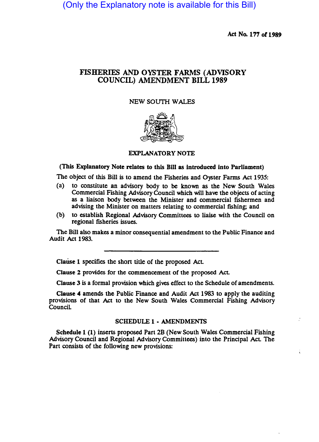(Only the Explanatory note is available for this Bill)

Act No. 177 of 1989

 $\ddot{i}$ 

# FISHERIES AND OYSTER FARMS (ADVISORY COUNCIL) AMENDMENT BILL 1989

# NEW SOUTH WALES



# EXPLANATORY NOTE

# (This Explanatory Note relates to this Bill as Introduced Into Parliament)

The object of this Bill is to amend the Fisheries and Oyster Farms Act 1935:

- (a) to constitute an advisory body to be known as the New South Wales Commercial Fishing Advisory Council which will have the Objects of acting as a liaison body between the Minister and commercial fishermen and advising the Minister on matters relating to commercial fishing; and
- (b) to establish Regional Advisory Committees to liaise with the Council on regional fisheries issues.

The Bill also makes a minor consequential amendment to the Public Finance and Audit Act 1983.

Clause 1 specifies the short title of the proposed Act.

Clause 2 provides for the commencement of the proposed Act.

Clause 3 is a formal provision which gives effect to the Schedule of amendments.

Clause 4 amends the Public Finance and Audit Act 1983 to apply the auditing provisions of that Act to the New South Wales Commercial Fishing Advisory CounciL

#### SCHEDULE 1· AMENDMENTS

Schedule 1 (1) inserts proposed Part 2B (New South Wales Commercial Fishing Advisory Council and Regional Advisory Committees) into the Principal AcL The Part consists of the following new provisions: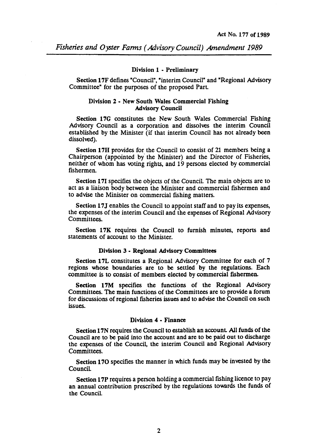### Division 1 - Preliminary

Section 17F defines "Council", "interim Council" and "Regional Advisory Committee" for the purposes of the proposed ParL

# Division 2 - New South Wales Commercial Fishing Advisory Council

Section 17G constitutes the New South Wales Commercial Fishing Advisory Council as a corporation and dissolves the interim Council established by the Minister (if that interim Council has not already been dissolved).

Section 17H provides for the Council to consist of 21 members being a Chairperson (appointed by'the Minister) and the Director of Fisheries, neither of whom has voting rights, and 19 persons elected by commercial fishermen.

Section 171 specifies the objects of the Council. The main objects are to act as a liaison body between the Minister and commercial fishermen and to advise the Minister on commercial fIShing matters.

Section 17J enables the Council to appoint staff and to pay its expenses, the expenses of the interim Council and the expenses of Regional Advisory Committees.

Section 17K requires the Council to furnish minutes, reports and statements of account to the Minister.

## Division 3 - Regional Advisory Committees

Section 17L constitutes a Regional Advisory Committee for each of 7 regions whose boundaries are to be settled by the regulations. Each committee is to consist of members elected by commercial fIShermen.

Section 17M specifies the functions of the Regional Advisory Committees. The main functions of the Committees are to provide a forum for discussions of regional fisheries issues and to advise the Council on such issues.

# Division 4 - Finance

Section 17N requires the Council to establish an account. All funds of the Council are to be paid into the account and are to be paid out to discharge the expenses of the Council, the interim Council and Regional Advisory Committees.

Section 170 specifies the manner in which funds may be invested by the Council

Section 17P requires a person holding a commercial fIShing licence to pay an annual contribution prescribed by the regulations towards the funds of the Council.